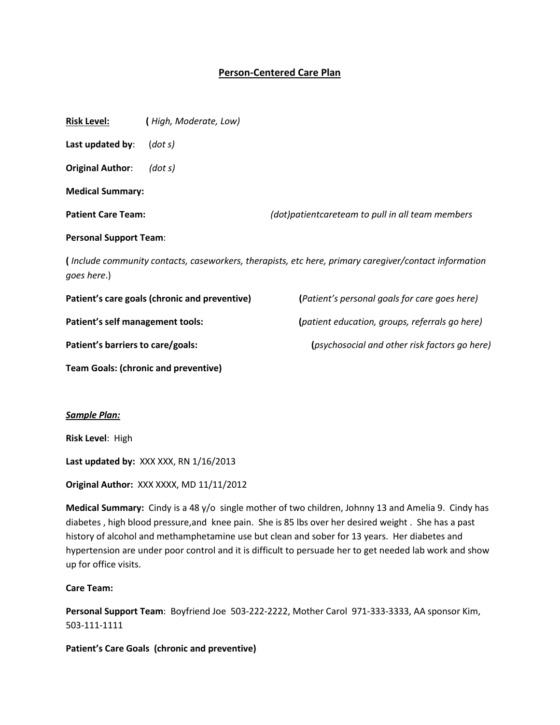# **Person-Centered Care Plan**

| <b>Risk Level:</b>                                                                                                   | (High, Moderate, Low)                         |                                                  |
|----------------------------------------------------------------------------------------------------------------------|-----------------------------------------------|--------------------------------------------------|
| Last updated by:                                                                                                     | (dot s)                                       |                                                  |
| <b>Original Author:</b>                                                                                              | (dot s)                                       |                                                  |
| <b>Medical Summary:</b>                                                                                              |                                               |                                                  |
| <b>Patient Care Team:</b>                                                                                            |                                               | (dot)patientcareteam to pull in all team members |
| <b>Personal Support Team:</b>                                                                                        |                                               |                                                  |
| (Include community contacts, caseworkers, therapists, etc here, primary caregiver/contact information<br>goes here.) |                                               |                                                  |
|                                                                                                                      | Patient's care goals (chronic and preventive) | (Patient's personal goals for care goes here)    |
| Patient's self management tools:                                                                                     |                                               | (patient education, groups, referrals go here)   |
| Patient's barriers to care/goals:                                                                                    |                                               | (psychosocial and other risk factors go here)    |
| <b>Team Goals: (chronic and preventive)</b>                                                                          |                                               |                                                  |

#### *Sample Plan:*

**Risk Level**: High

**Last updated by:** XXX XXX, RN 1/16/2013

**Original Author:** XXX XXXX, MD 11/11/2012

**Medical Summary:** Cindy is a 48 y/o single mother of two children, Johnny 13 and Amelia 9. Cindy has diabetes , high blood pressure,and knee pain. She is 85 lbs over her desired weight . She has a past history of alcohol and methamphetamine use but clean and sober for 13 years. Her diabetes and hypertension are under poor control and it is difficult to persuade her to get needed lab work and show up for office visits.

#### **Care Team:**

**Personal Support Team**: Boyfriend Joe 503-222-2222, Mother Carol 971-333-3333, AA sponsor Kim, 503-111-1111

**Patient's Care Goals (chronic and preventive)**